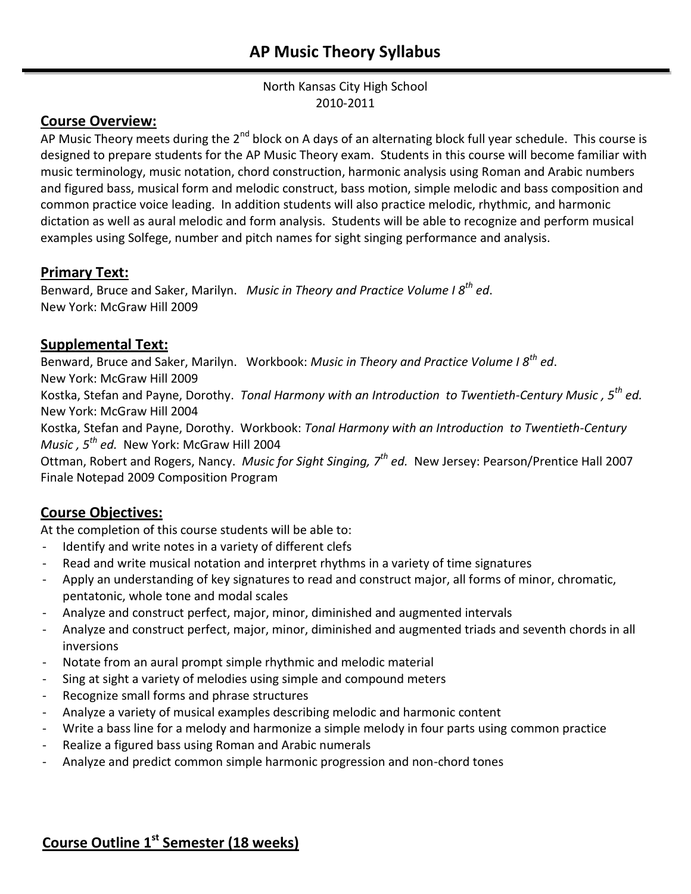#### North Kansas City High School 2010-2011

## **Course Overview:**

AP Music Theory meets during the 2<sup>nd</sup> block on A days of an alternating block full year schedule. This course is designed to prepare students for the AP Music Theory exam. Students in this course will become familiar with music terminology, music notation, chord construction, harmonic analysis using Roman and Arabic numbers and figured bass, musical form and melodic construct, bass motion, simple melodic and bass composition and common practice voice leading. In addition students will also practice melodic, rhythmic, and harmonic dictation as well as aural melodic and form analysis. Students will be able to recognize and perform musical examples using Solfege, number and pitch names for sight singing performance and analysis.

## **Primary Text:**

Benward, Bruce and Saker, Marilyn. *Music in Theory and Practice Volume I 8th ed*. New York: McGraw Hill 2009

## **Supplemental Text:**

Benward, Bruce and Saker, Marilyn. Workbook: *Music in Theory and Practice Volume I 8th ed*. New York: McGraw Hill 2009

Kostka, Stefan and Payne, Dorothy. *Tonal Harmony with an Introduction to Twentieth-Century Music , 5th ed.*

New York: McGraw Hill 2004

Kostka, Stefan and Payne, Dorothy. Workbook: *Tonal Harmony with an Introduction to Twentieth-Century Music , 5th ed.* New York: McGraw Hill 2004

Ottman, Robert and Rogers, Nancy. *Music for Sight Singing, 7th ed.* New Jersey: Pearson/Prentice Hall 2007 Finale Notepad 2009 Composition Program

## **Course Objectives:**

At the completion of this course students will be able to:

- Identify and write notes in a variety of different clefs
- Read and write musical notation and interpret rhythms in a variety of time signatures
- Apply an understanding of key signatures to read and construct major, all forms of minor, chromatic, pentatonic, whole tone and modal scales
- Analyze and construct perfect, major, minor, diminished and augmented intervals
- Analyze and construct perfect, major, minor, diminished and augmented triads and seventh chords in all inversions
- Notate from an aural prompt simple rhythmic and melodic material
- Sing at sight a variety of melodies using simple and compound meters
- Recognize small forms and phrase structures
- Analyze a variety of musical examples describing melodic and harmonic content
- Write a bass line for a melody and harmonize a simple melody in four parts using common practice
- Realize a figured bass using Roman and Arabic numerals
- Analyze and predict common simple harmonic progression and non-chord tones

# **Course Outline 1st Semester (18 weeks)**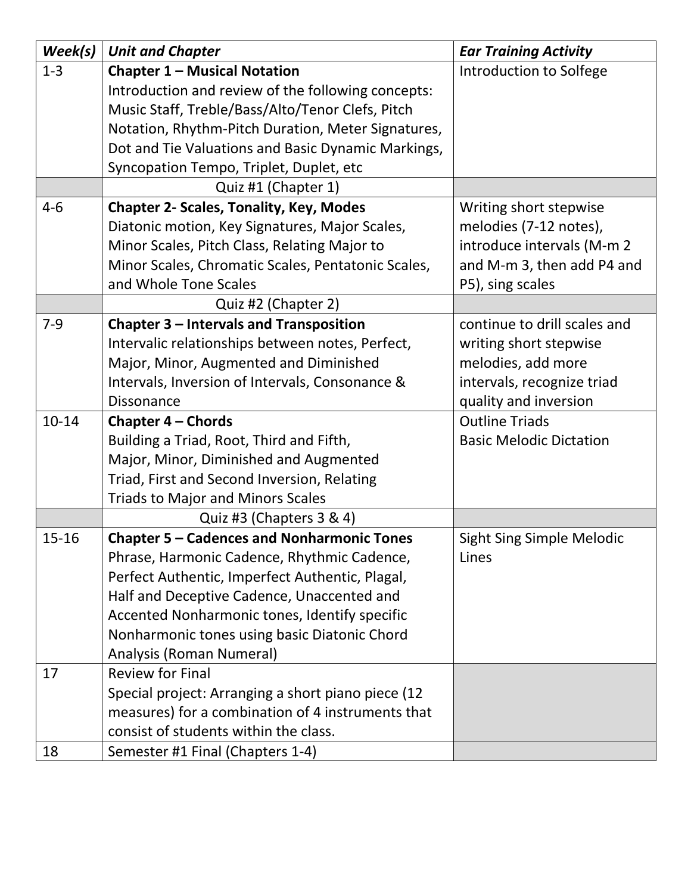| Week(s)   | <b>Unit and Chapter</b>                            | <b>Ear Training Activity</b>     |
|-----------|----------------------------------------------------|----------------------------------|
| $1 - 3$   | <b>Chapter 1 - Musical Notation</b>                | Introduction to Solfege          |
|           | Introduction and review of the following concepts: |                                  |
|           | Music Staff, Treble/Bass/Alto/Tenor Clefs, Pitch   |                                  |
|           | Notation, Rhythm-Pitch Duration, Meter Signatures, |                                  |
|           | Dot and Tie Valuations and Basic Dynamic Markings, |                                  |
|           | Syncopation Tempo, Triplet, Duplet, etc            |                                  |
|           | Quiz #1 (Chapter 1)                                |                                  |
| $4 - 6$   | <b>Chapter 2- Scales, Tonality, Key, Modes</b>     | Writing short stepwise           |
|           | Diatonic motion, Key Signatures, Major Scales,     | melodies (7-12 notes),           |
|           | Minor Scales, Pitch Class, Relating Major to       | introduce intervals (M-m 2       |
|           | Minor Scales, Chromatic Scales, Pentatonic Scales, | and M-m 3, then add P4 and       |
|           | and Whole Tone Scales                              | P5), sing scales                 |
|           | Quiz #2 (Chapter 2)                                |                                  |
| $7-9$     | Chapter 3 - Intervals and Transposition            | continue to drill scales and     |
|           | Intervalic relationships between notes, Perfect,   | writing short stepwise           |
|           | Major, Minor, Augmented and Diminished             | melodies, add more               |
|           | Intervals, Inversion of Intervals, Consonance &    | intervals, recognize triad       |
|           | <b>Dissonance</b>                                  | quality and inversion            |
| $10 - 14$ | Chapter 4 - Chords                                 | <b>Outline Triads</b>            |
|           | Building a Triad, Root, Third and Fifth,           | <b>Basic Melodic Dictation</b>   |
|           | Major, Minor, Diminished and Augmented             |                                  |
|           | Triad, First and Second Inversion, Relating        |                                  |
|           | <b>Triads to Major and Minors Scales</b>           |                                  |
|           | Quiz #3 (Chapters 3 & 4)                           |                                  |
| $15 - 16$ | <b>Chapter 5 - Cadences and Nonharmonic Tones</b>  | <b>Sight Sing Simple Melodic</b> |
|           | Phrase, Harmonic Cadence, Rhythmic Cadence,        | Lines                            |
|           | Perfect Authentic, Imperfect Authentic, Plagal,    |                                  |
|           | Half and Deceptive Cadence, Unaccented and         |                                  |
|           | Accented Nonharmonic tones, Identify specific      |                                  |
|           | Nonharmonic tones using basic Diatonic Chord       |                                  |
|           | Analysis (Roman Numeral)                           |                                  |
| 17        | <b>Review for Final</b>                            |                                  |
|           | Special project: Arranging a short piano piece (12 |                                  |
|           | measures) for a combination of 4 instruments that  |                                  |
|           | consist of students within the class.              |                                  |
| 18        | Semester #1 Final (Chapters 1-4)                   |                                  |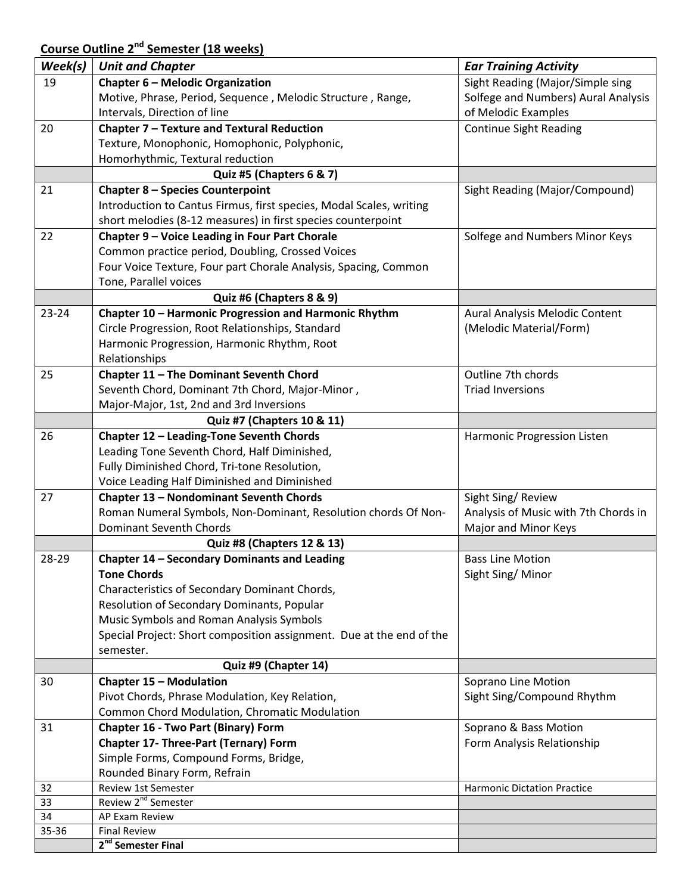## **Course Outline 2 nd Semester (18 weeks)**

| Week(s)   | <b>Unit and Chapter</b>                                              | <b>Ear Training Activity</b>         |
|-----------|----------------------------------------------------------------------|--------------------------------------|
| 19        | Chapter 6 - Melodic Organization                                     | Sight Reading (Major/Simple sing     |
|           | Motive, Phrase, Period, Sequence, Melodic Structure, Range,          | Solfege and Numbers) Aural Analysis  |
|           | Intervals, Direction of line                                         | of Melodic Examples                  |
| 20        | Chapter 7 - Texture and Textural Reduction                           | <b>Continue Sight Reading</b>        |
|           | Texture, Monophonic, Homophonic, Polyphonic,                         |                                      |
|           | Homorhythmic, Textural reduction                                     |                                      |
|           | Quiz #5 (Chapters 6 & 7)                                             |                                      |
| 21        | <b>Chapter 8 - Species Counterpoint</b>                              | Sight Reading (Major/Compound)       |
|           | Introduction to Cantus Firmus, first species, Modal Scales, writing  |                                      |
|           | short melodies (8-12 measures) in first species counterpoint         |                                      |
| 22        | Chapter 9 - Voice Leading in Four Part Chorale                       | Solfege and Numbers Minor Keys       |
|           | Common practice period, Doubling, Crossed Voices                     |                                      |
|           | Four Voice Texture, Four part Chorale Analysis, Spacing, Common      |                                      |
|           | Tone, Parallel voices                                                |                                      |
|           | Quiz #6 (Chapters 8 & 9)                                             |                                      |
| $23 - 24$ | Chapter 10 - Harmonic Progression and Harmonic Rhythm                | Aural Analysis Melodic Content       |
|           | Circle Progression, Root Relationships, Standard                     | (Melodic Material/Form)              |
|           | Harmonic Progression, Harmonic Rhythm, Root                          |                                      |
|           | Relationships                                                        |                                      |
| 25        | Chapter 11 - The Dominant Seventh Chord                              | Outline 7th chords                   |
|           | Seventh Chord, Dominant 7th Chord, Major-Minor,                      | <b>Triad Inversions</b>              |
|           | Major-Major, 1st, 2nd and 3rd Inversions                             |                                      |
|           | Quiz #7 (Chapters 10 & 11)                                           |                                      |
| 26        | Chapter 12 - Leading-Tone Seventh Chords                             | Harmonic Progression Listen          |
|           | Leading Tone Seventh Chord, Half Diminished,                         |                                      |
|           | Fully Diminished Chord, Tri-tone Resolution,                         |                                      |
|           | Voice Leading Half Diminished and Diminished                         |                                      |
| 27        | Chapter 13 - Nondominant Seventh Chords                              | Sight Sing/Review                    |
|           | Roman Numeral Symbols, Non-Dominant, Resolution chords Of Non-       | Analysis of Music with 7th Chords in |
|           | <b>Dominant Seventh Chords</b>                                       | Major and Minor Keys                 |
|           | Quiz #8 (Chapters 12 & 13)                                           |                                      |
| 28-29     | Chapter 14 - Secondary Dominants and Leading                         | <b>Bass Line Motion</b>              |
|           | <b>Tone Chords</b>                                                   | Sight Sing/Minor                     |
|           | Characteristics of Secondary Dominant Chords,                        |                                      |
|           | Resolution of Secondary Dominants, Popular                           |                                      |
|           | Music Symbols and Roman Analysis Symbols                             |                                      |
|           | Special Project: Short composition assignment. Due at the end of the |                                      |
|           | semester.                                                            |                                      |
|           | Quiz #9 (Chapter 14)                                                 |                                      |
| 30        | <b>Chapter 15 - Modulation</b>                                       | Soprano Line Motion                  |
|           | Pivot Chords, Phrase Modulation, Key Relation,                       | Sight Sing/Compound Rhythm           |
|           | Common Chord Modulation, Chromatic Modulation                        |                                      |
| 31        | <b>Chapter 16 - Two Part (Binary) Form</b>                           | Soprano & Bass Motion                |
|           | <b>Chapter 17- Three-Part (Ternary) Form</b>                         | Form Analysis Relationship           |
|           | Simple Forms, Compound Forms, Bridge,                                |                                      |
|           | Rounded Binary Form, Refrain                                         |                                      |
| 32        | Review 1st Semester                                                  | <b>Harmonic Dictation Practice</b>   |
| 33        | Review 2 <sup>nd</sup> Semester                                      |                                      |
| 34        | AP Exam Review                                                       |                                      |
| 35-36     | <b>Final Review</b>                                                  |                                      |
|           | 2 <sup>nd</sup> Semester Final                                       |                                      |